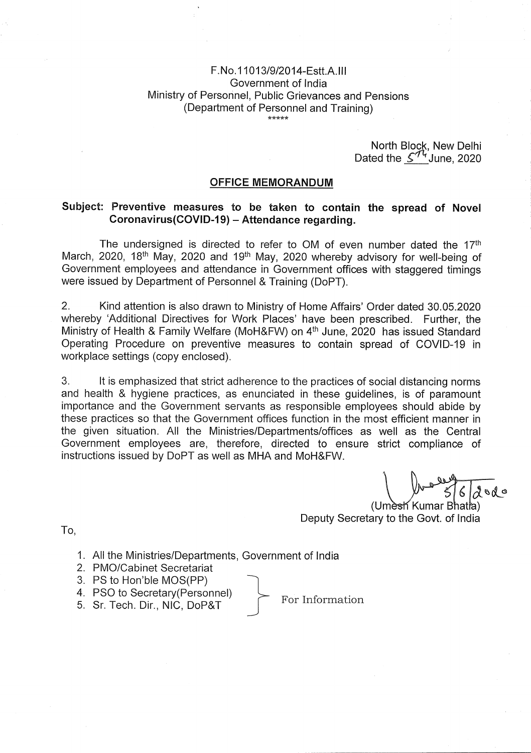# F.No.11013/9/2014-EsttAlll Government of India Ministry of Personnel, Public Grievances and Pensions (Department of Personnel and Training)

North Block, New Delhi Dated the  $\mathcal{L}^{74}$ June, 2020

#### **OFFICE MEMORANDUM**

## **Subject: Preventive measures to be taken to contain the spread of Novel Coronavirus(COVlD-19)** — **Attendance regarding.**

The undersigned is directed to refer to OM of even number dated the  $17<sup>th</sup>$ March, 2020, 18<sup>th</sup> May, 2020 and 19<sup>th</sup> May, 2020 whereby advisory for well-being of Government employees and attendance in Government offices with staggered timings were issued by Department of Personnel & Training (DoPT),

2. Kind attention is also drawn to Ministry of Home Affairs' Order dated 30.05.2020 whereby 'Additional Directives for Work Places' have been prescribed. Further, the Ministry of Health & Family Welfare (MoH&FW) on 4<sup>th</sup> June, 2020 has issued Standard Operating Procedure on preventive measures to contain spread of COVID-19 in workplace settings (copy enclosed).

3. It is emphasized that strict adherence to the practices of social distancing norms and health & hygiene practices, as enunciated in these guidelines, is of paramount importance and the Government servants as responsible employees should abide by these practices so that the Government offices function in the most efficient manner in the given situation. All the Ministries/Departments/offices as well as the Central Government employees are, therefore, directed to ensure strict compliance of instructions issued by DoPT as well as MHA and MoH&FW.

dodo

(Umesh Kumar Bhatla) Deputy Secretary to the Govt. of India

To,

- 1. All the Ministries/Departments, Government of India
- 2. PMO/Cabinet Secretariat
- 3. PS to Hon'ble MOS(PP)
- 4. PSO to Secretary(Personnel)  $\leftarrow$  For Information 5. Sr. Tech. Dir., NIC, DoP&T
-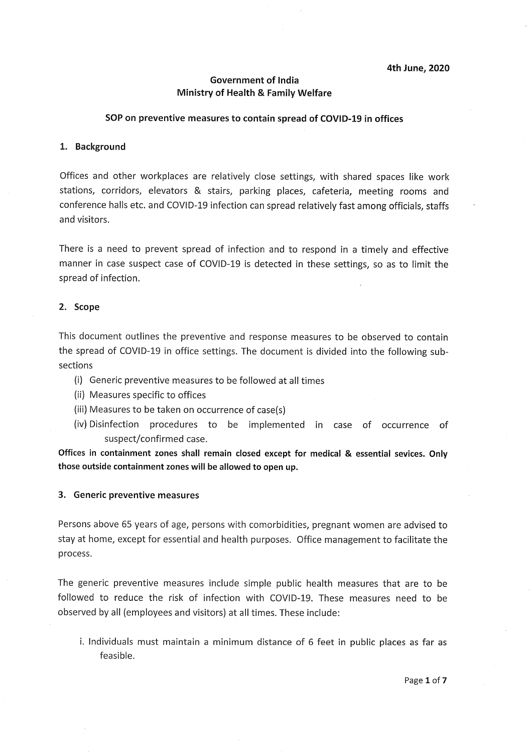**4th June, 2020** 

### **Government of India Ministry of Health** & **Family Welfare**

#### **SOP on preventive measures to contain spread of COVID..19 in offices**

#### **1. Background**

Offices and other workplaces are relatively close settings, with shared spaces like work stations, corridors, elevators & stairs, parking places, cafeteria, meeting rooms and conference halls etc. and COVID-19 infection can spread relatively fast among officials, staffs and visitors.

There is a need to prevent spread of infection and to respond in a timely and effective manner in case suspect case of COVID-19 is detected in these settings, so as to limit the spread of infection.

#### **2. Scope**

This document outlines the preventive and response measures to be observed to contain the spread of COVID-19 in office settings. The document is divided into the following subsections

- (i) Generic preventive measures to be followed at all times
- (ii) Measures specific to offices
- (iii) Measures to be taken on occurrence of case(s)
- (iv) Disinfection procedures to be implemented in case of occurrence of suspect/confirmed case.

**Offices in containment zones shall remain closed except for medical** & **essential sevices. Only those outside containment zones will be allowed to open up.** 

#### **3. Generic preventive measures**

Persons above 65 years of age, persons with comorbidities, pregnant women are advised to stay at home, except for essential and health purposes. Office management to facilitate the process.

The generic preventive measures include simple public health measures that are to be followed to reduce the risk of infection with COVID-19. These measures need to be observed by all (employees and visitors) at all times. These include:

i. Individuals must maintain a minimum distance of 6 feet in public places as far as feasible.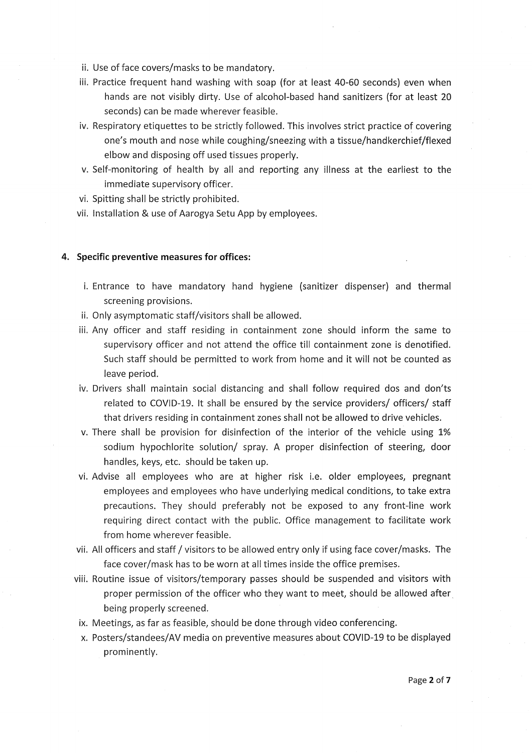- ii. Use of face covers/masks to be mandatory.
- iii. Practice frequent hand washing with soap (for at least 40-60 seconds) even when hands are not visibly dirty. Use of alcohol-based hand sanitizers (for at least 20 seconds) can be made wherever feasible.
- iv. Respiratory etiquettes to be strictly followed. This involves strict practice of covering one's mouth and nose while coughing/sneezing with a tissue/handkerchief/flexed elbow and disposing off used tissues properly.
- v, Self-monitoring of health by all and reporting any illness at the earliest to the immediate supervisory officer.
- vi. Spitting shall be strictly prohibited.
- vii. Installation & use of Aarogya Setu App by employees.

#### **4. Specific preventive measures for offices:**

- i. Entrance to have mandatory hand hygiene (sanitizer dispenser) and thermal screening provisions.
- ii. Only asymptomatic staff/visitors shall be allowed.
- iii, Any officer and staff residing in containment zone should inform the same to supervisory officer and not attend the office till containment zone is denotified, Such staff should be permitted to work from home and it will not be counted as leave period.
- iv. Drivers shall maintain social distancing and shall follow required dos and don'ts related to COVID-19. It shall be ensured by the service providers/ officers/ staff that drivers residing in containment zones shall not be allowed to drive vehicles.
- v. There shall be provision for disinfection of the interior of the vehicle using 1% sodium hypochlorite solution/ spray. A proper disinfection of steering, door handles, keys, etc. should be taken up.
- vi. Advise all employees who are at higher risk i.e. older employees, pregnant employees and employees who have underlying medical conditions, to take extra precautions. They should preferably not be exposed to any front-line work requiring direct contact with the public. Office management to facilitate work from home wherever feasible.
- vii. All officers and staff / visitors to be allowed entry only if using face cover/masks. The face cover/mask has to be worn at all times inside the office premises.
- viii. Routine issue of visitors/temporary passes should be suspended and visitors with proper permission of the officer who they want to meet, should be allowed after being properly screened.
- ix. Meetings, as far as feasible, should be done through video conferencing.
- x. Posters/standees/AV media on preventive measures about COVlD-19 to be displayed prominently.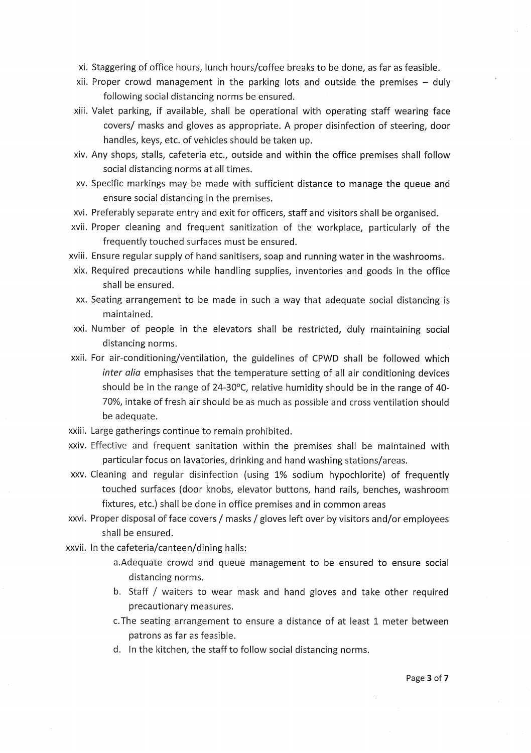- xi. Staggering of office hours, lunch hours/coffee breaks to be done, as far as feasible.
- xii. Proper crowd management in the parking lots and outside the premises duly following social distancing norms be ensured.
- xiii. Valet parking, if available, shall be operational with operating staff wearing face covers/ masks and gloves as appropriate. A proper disinfection of steering, door handles, keys, etc. of vehicles should be taken up.
- xiv. Any shops, stalls, cafeteria etc., outside and within the office premises shall follow social distancing norms at all times.
- xv. Specific markings may be made with sufficient distance to manage the queue and ensure social distancing in the premises.
- xvi. Preferably separate entry and exit for officers, staff and visitors shall be organised.
- xvii. Proper cleaning and frequent sanitization of the workplace, particularly of the frequently touched surfaces must be ensured.
- xviii. Ensure regular supply of hand sanitisers, soap and running water in the washrooms,
- xix. Required precautions while handling supplies, inventories and goods in the office shall be ensured.
- xx. Seating arrangement to be made in such a way that adequate social distancing is maintained.
- xxi. Number of people in the elevators shall be restricted, duly maintaining social distancing norms.
- xxii. For air-conditioning/ventilation, the guidelines of CPWD shall be followed which inter alia emphasises that the temperature setting of all air conditioning devices should be in the range of 24-30°C, relative humidity should be in the range of 40- 70%, intake of fresh air should be as much as possible and cross ventilation should be adequate.
- xxiii. Large gatherings continue to remain prohibited.
- xxiv. Effective and frequent sanitation within the premises shall be maintained with particular focus on lavatories, drinking and hand washing stations/areas.
- xxv. Cleaning and regular disinfection (using 1% sodium hypochlorite) of frequently touched surfaces (door knobs, elevator buttons, hand rails, benches, washroom fixtures, etc.) shall be done in office premises and in common areas
- xxvi. Proper disposal of face covers / masks / gloves left over by visitors and/or employees shall be ensured.

xxvii. In the cafeteria/canteen/dining halls:

- a.Adequate crowd and queue management to be ensured to ensure social distancing norms.
- b. Staff / waiters to wear mask and hand gloves and take other required precautionary measures.
- c.The seating arrangement to ensure a distance of at least 1 meter between patrons as far as feasible.
- d. In the kitchen, the staff to follow social distancing norms.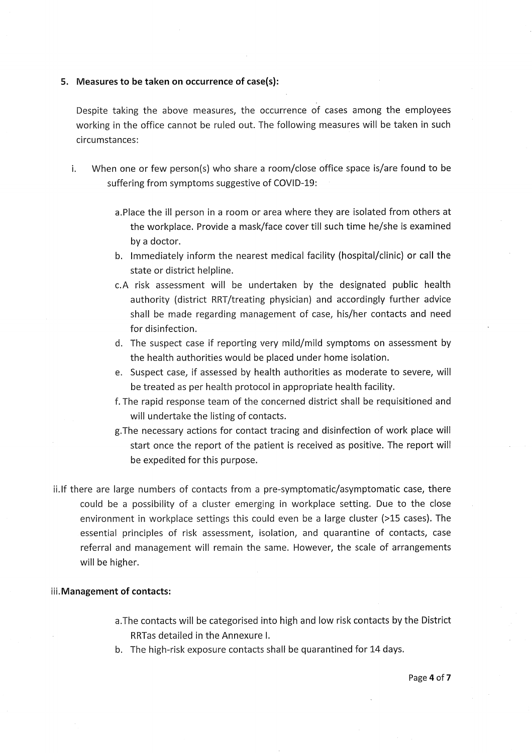#### **5. Measures to be taken on occurrence of case(s):**

Despite taking the above measures, the occurrence of cases among the employees working in the office cannot be ruled out. The following measures will be taken in such circumstances:

- i. When one or few person(s) who share a room/close office space is/are found to be suffering from symptoms suggestive of COVID-19:
	- a.Place the ill person in a room or area where they are isolated from others at the workplace. Provide a mask/face cover till such time he/she is examined by a doctor.
	- b. Immediately inform the nearest medical facility (hospital/clinic) or call the state or district helpline.
	- c.A risk assessment will be undertaken by the designated public health authority (district RRT/treating physician) and accordingly further advice shall be made regarding management of case, his/her contacts and need for disinfection.
	- d. The suspect case if reporting very mild/mild symptoms on assessment by the health authorities would be placed under home isolation.
	- e. Suspect case, if assessed by health authorities as moderate to severe, will be treated as per health protocol in appropriate health facility.
	- f. The rapid response team of the concerned district shall be requisitioned and will undertake the listing of contacts.
	- g.The necessary actions for contact tracing and disinfection of work place will start once the report of the patient is received as positive. The report will be expedited for this purpose.
- ii.lf there are large numbers of contacts from a pre-symptomatic/asymptomatic case, there could be a possibility of a cluster emerging in workplace setting. Due to the close environment in workplace settings this could even be a large cluster (>15 cases). The essential principles of risk assessment, isolation, and quarantine of contacts, case referral and management will remain the same. However, the scale of arrangements will be higher.

#### **iii.Management of contacts:**

- a.The contacts will be categorised into high and low risk contacts by the District RRTas detailed in the Annexure I.
- b. The high-risk exposure contacts shall be quarantined for 14 days.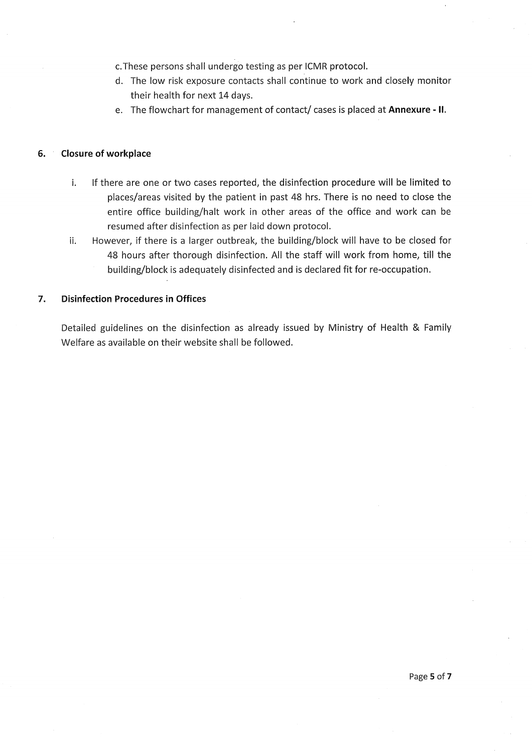c.These persons shall undergo testing as per lCMR protocol.

- d. The low risk exposure contacts shall continue to work and closely monitor their health for next 14 days.
- e. The flowchart for management of contact/ cases is placed at Annexure II.

### **6. Closure of workplace**

- i. If there are one or two cases reported, the disinfection procedure will be limited to places/areas visited by the patient in past 48 hrs. There is no need to close the entire office building/halt work in other areas of the office and work can be resumed after disinfection as per laid down protocol.
- ii. However, if there is a larger outbreak, the building/block will have to be closed for 48 hours after thorough disinfection. All the staff will work from home, till the building/block is adequately disinfected and is declared fit for re-occupation.

## **7. Disinfection Procedures in Offices**

Detailed guidelines on the disinfection as already issued by Ministry of Health & Family Welfare as available on their website shall be followed.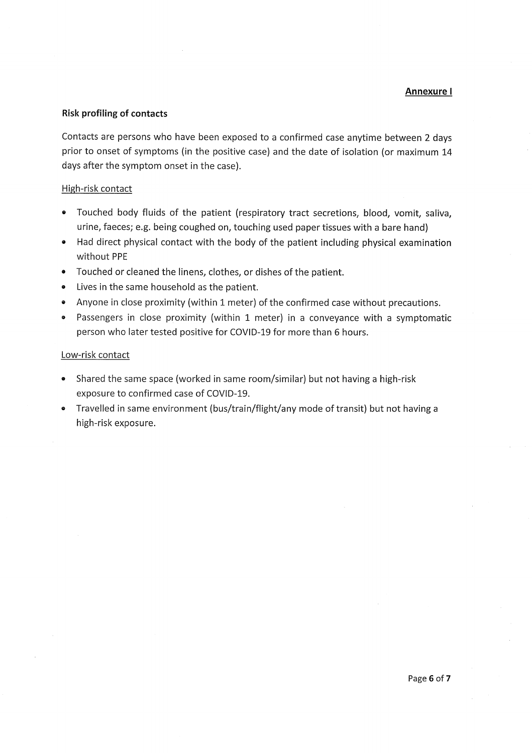#### **Annexure** <sup>I</sup>

#### **Risk profiling of contacts**

Contacts are persons who have been exposed to a confirmed case anytime between 2 days prior to onset of symptoms (in the positive case) and the date of isolation (or maximum 14 days after the symptom onset in the case).

#### High-risk contact

- Touched body fluids of the patient (respiratory tract secretions, blood, vomit, saliva, urine, faeces; e.g. being coughed on, touching used paper tissues with a bare hand)
- Had direct physical contact with the body of the patient including physical examination without PPE
- Touched or cleaned the linens, clothes, or dishes of the patient.
- Lives in the same household as the patient.
- Anyone in close proximity (within 1 meter) of the confirmed case without precautions.
- Passengers in close proximity (within 1 meter) in a conveyance with a symptomatic person who later tested positive for COVlD-19 for more than 6 hours.

#### Low-risk contact

- Shared the same space (worked in same room/similar) but not having a high-risk exposure to confirmed case of COVlD-19.
- Travelled in same environment (bus/train/flight/any mode of transit) but not having a high-risk exposure.